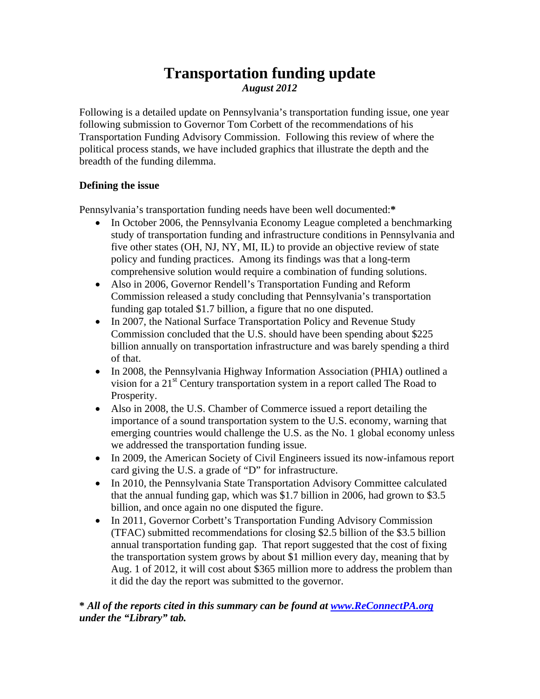# **Transportation funding update**  *August 2012*

Following is a detailed update on Pennsylvania's transportation funding issue, one year following submission to Governor Tom Corbett of the recommendations of his Transportation Funding Advisory Commission. Following this review of where the political process stands, we have included graphics that illustrate the depth and the breadth of the funding dilemma.

## **Defining the issue**

Pennsylvania's transportation funding needs have been well documented:**\***

- In October 2006, the Pennsylvania Economy League completed a benchmarking study of transportation funding and infrastructure conditions in Pennsylvania and five other states (OH, NJ, NY, MI, IL) to provide an objective review of state policy and funding practices. Among its findings was that a long-term comprehensive solution would require a combination of funding solutions.
- Also in 2006, Governor Rendell's Transportation Funding and Reform Commission released a study concluding that Pennsylvania's transportation funding gap totaled \$1.7 billion, a figure that no one disputed.
- In 2007, the National Surface Transportation Policy and Revenue Study Commission concluded that the U.S. should have been spending about \$225 billion annually on transportation infrastructure and was barely spending a third of that.
- In 2008, the Pennsylvania Highway Information Association (PHIA) outlined a vision for a 21<sup>st</sup> Century transportation system in a report called The Road to Prosperity.
- Also in 2008, the U.S. Chamber of Commerce issued a report detailing the importance of a sound transportation system to the U.S. economy, warning that emerging countries would challenge the U.S. as the No. 1 global economy unless we addressed the transportation funding issue.
- In 2009, the American Society of Civil Engineers issued its now-infamous report card giving the U.S. a grade of "D" for infrastructure.
- In 2010, the Pennsylvania State Transportation Advisory Committee calculated that the annual funding gap, which was \$1.7 billion in 2006, had grown to \$3.5 billion, and once again no one disputed the figure.
- In 2011, Governor Corbett's Transportation Funding Advisory Commission (TFAC) submitted recommendations for closing \$2.5 billion of the \$3.5 billion annual transportation funding gap. That report suggested that the cost of fixing the transportation system grows by about \$1 million every day, meaning that by Aug. 1 of 2012, it will cost about \$365 million more to address the problem than it did the day the report was submitted to the governor.

## **\*** *All of the reports cited in this summary can be found at www.ReConnectPA.org under the "Library" tab.*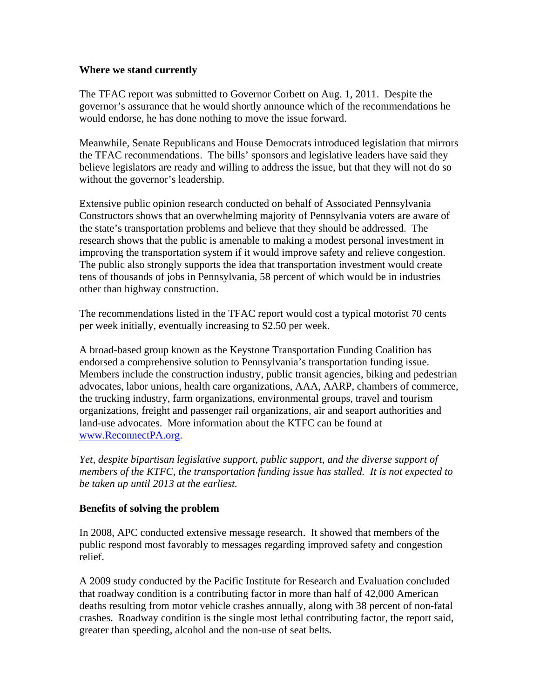#### **Where we stand currently**

The TFAC report was submitted to Governor Corbett on Aug. 1, 2011. Despite the governor's assurance that he would shortly announce which of the recommendations he would endorse, he has done nothing to move the issue forward.

Meanwhile, Senate Republicans and House Democrats introduced legislation that mirrors the TFAC recommendations. The bills' sponsors and legislative leaders have said they believe legislators are ready and willing to address the issue, but that they will not do so without the governor's leadership.

Extensive public opinion research conducted on behalf of Associated Pennsylvania Constructors shows that an overwhelming majority of Pennsylvania voters are aware of the state's transportation problems and believe that they should be addressed. The research shows that the public is amenable to making a modest personal investment in improving the transportation system if it would improve safety and relieve congestion. The public also strongly supports the idea that transportation investment would create tens of thousands of jobs in Pennsylvania, 58 percent of which would be in industries other than highway construction.

The recommendations listed in the TFAC report would cost a typical motorist 70 cents per week initially, eventually increasing to \$2.50 per week.

A broad-based group known as the Keystone Transportation Funding Coalition has endorsed a comprehensive solution to Pennsylvania's transportation funding issue. Members include the construction industry, public transit agencies, biking and pedestrian advocates, labor unions, health care organizations, AAA, AARP, chambers of commerce, the trucking industry, farm organizations, environmental groups, travel and tourism organizations, freight and passenger rail organizations, air and seaport authorities and land-use advocates. More information about the KTFC can be found at www.ReconnectPA.org.

*Yet, despite bipartisan legislative support, public support, and the diverse support of members of the KTFC, the transportation funding issue has stalled. It is not expected to be taken up until 2013 at the earliest.* 

#### **Benefits of solving the problem**

In 2008, APC conducted extensive message research. It showed that members of the public respond most favorably to messages regarding improved safety and congestion relief.

A 2009 study conducted by the Pacific Institute for Research and Evaluation concluded that roadway condition is a contributing factor in more than half of 42,000 American deaths resulting from motor vehicle crashes annually, along with 38 percent of non-fatal crashes. Roadway condition is the single most lethal contributing factor, the report said, greater than speeding, alcohol and the non-use of seat belts.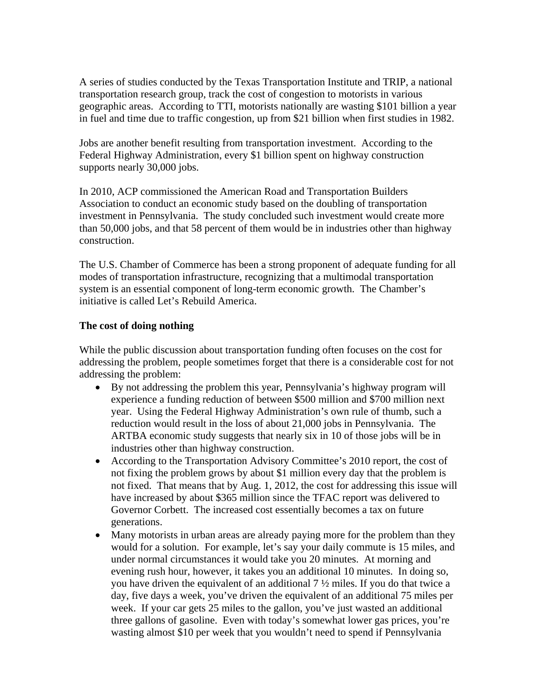A series of studies conducted by the Texas Transportation Institute and TRIP, a national transportation research group, track the cost of congestion to motorists in various geographic areas. According to TTI, motorists nationally are wasting \$101 billion a year in fuel and time due to traffic congestion, up from \$21 billion when first studies in 1982.

Jobs are another benefit resulting from transportation investment. According to the Federal Highway Administration, every \$1 billion spent on highway construction supports nearly 30,000 jobs.

In 2010, ACP commissioned the American Road and Transportation Builders Association to conduct an economic study based on the doubling of transportation investment in Pennsylvania. The study concluded such investment would create more than 50,000 jobs, and that 58 percent of them would be in industries other than highway construction.

The U.S. Chamber of Commerce has been a strong proponent of adequate funding for all modes of transportation infrastructure, recognizing that a multimodal transportation system is an essential component of long-term economic growth. The Chamber's initiative is called Let's Rebuild America.

#### **The cost of doing nothing**

While the public discussion about transportation funding often focuses on the cost for addressing the problem, people sometimes forget that there is a considerable cost for not addressing the problem:

- By not addressing the problem this year, Pennsylvania's highway program will experience a funding reduction of between \$500 million and \$700 million next year. Using the Federal Highway Administration's own rule of thumb, such a reduction would result in the loss of about 21,000 jobs in Pennsylvania. The ARTBA economic study suggests that nearly six in 10 of those jobs will be in industries other than highway construction.
- According to the Transportation Advisory Committee's 2010 report, the cost of not fixing the problem grows by about \$1 million every day that the problem is not fixed. That means that by Aug. 1, 2012, the cost for addressing this issue will have increased by about \$365 million since the TFAC report was delivered to Governor Corbett. The increased cost essentially becomes a tax on future generations.
- Many motorists in urban areas are already paying more for the problem than they would for a solution. For example, let's say your daily commute is 15 miles, and under normal circumstances it would take you 20 minutes. At morning and evening rush hour, however, it takes you an additional 10 minutes. In doing so, you have driven the equivalent of an additional 7 ½ miles. If you do that twice a day, five days a week, you've driven the equivalent of an additional 75 miles per week. If your car gets 25 miles to the gallon, you've just wasted an additional three gallons of gasoline. Even with today's somewhat lower gas prices, you're wasting almost \$10 per week that you wouldn't need to spend if Pennsylvania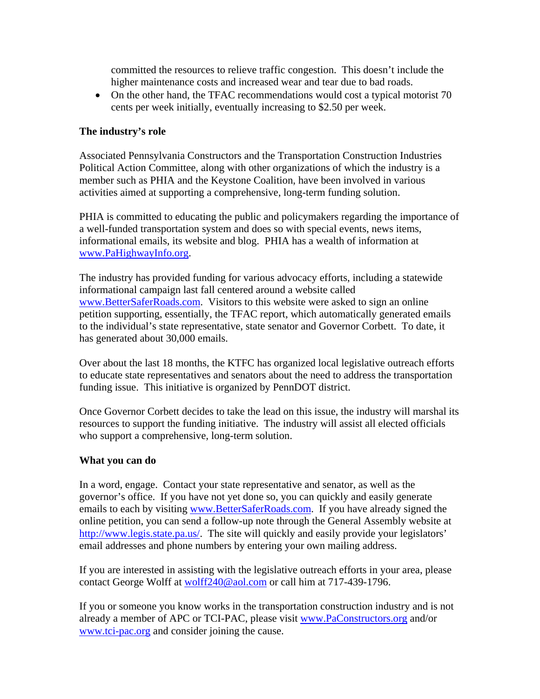committed the resources to relieve traffic congestion. This doesn't include the higher maintenance costs and increased wear and tear due to bad roads.

• On the other hand, the TFAC recommendations would cost a typical motorist 70 cents per week initially, eventually increasing to \$2.50 per week.

#### **The industry's role**

Associated Pennsylvania Constructors and the Transportation Construction Industries Political Action Committee, along with other organizations of which the industry is a member such as PHIA and the Keystone Coalition, have been involved in various activities aimed at supporting a comprehensive, long-term funding solution.

PHIA is committed to educating the public and policymakers regarding the importance of a well-funded transportation system and does so with special events, news items, informational emails, its website and blog. PHIA has a wealth of information at www.PaHighwayInfo.org.

The industry has provided funding for various advocacy efforts, including a statewide informational campaign last fall centered around a website called www.BetterSaferRoads.com. Visitors to this website were asked to sign an online petition supporting, essentially, the TFAC report, which automatically generated emails to the individual's state representative, state senator and Governor Corbett. To date, it has generated about 30,000 emails.

Over about the last 18 months, the KTFC has organized local legislative outreach efforts to educate state representatives and senators about the need to address the transportation funding issue. This initiative is organized by PennDOT district.

Once Governor Corbett decides to take the lead on this issue, the industry will marshal its resources to support the funding initiative. The industry will assist all elected officials who support a comprehensive, long-term solution.

#### **What you can do**

In a word, engage. Contact your state representative and senator, as well as the governor's office. If you have not yet done so, you can quickly and easily generate emails to each by visiting www.BetterSaferRoads.com. If you have already signed the online petition, you can send a follow-up note through the General Assembly website at http://www.legis.state.pa.us/. The site will quickly and easily provide your legislators' email addresses and phone numbers by entering your own mailing address.

If you are interested in assisting with the legislative outreach efforts in your area, please contact George Wolff at wolff240@aol.com or call him at 717-439-1796.

If you or someone you know works in the transportation construction industry and is not already a member of APC or TCI-PAC, please visit www.PaConstructors.org and/or www.tci-pac.org and consider joining the cause.